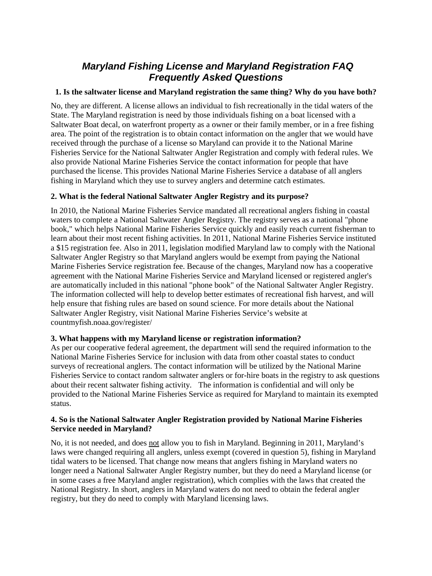# *Maryland Fishing License and Maryland Registration FAQ Frequently Asked Questions*

# **1. Is the saltwater license and Maryland registration the same thing? Why do you have both?**

No, they are different. A license allows an individual to fish recreationally in the tidal waters of the State. The Maryland registration is need by those individuals fishing on a boat licensed with a Saltwater Boat decal, on waterfront property as a owner or their family member, or in a free fishing area. The point of the registration is to obtain contact information on the angler that we would have received through the purchase of a license so Maryland can provide it to the National Marine Fisheries Service for the National Saltwater Angler Registration and comply with federal rules. We also provide National Marine Fisheries Service the contact information for people that have purchased the license. This provides National Marine Fisheries Service a database of all anglers fishing in Maryland which they use to survey anglers and determine catch estimates.

# **2. What is the federal National Saltwater Angler Registry and its purpose?**

In 2010, the National Marine Fisheries Service mandated all recreational anglers fishing in coastal waters to complete a National Saltwater Angler Registry. The registry serves as a national "phone book," which helps National Marine Fisheries Service quickly and easily reach current fisherman to learn about their most recent fishing activities. In 2011, National Marine Fisheries Service instituted a \$15 registration fee. Also in 2011, legislation modified Maryland law to comply with the National Saltwater Angler Registry so that Maryland anglers would be exempt from paying the National Marine Fisheries Service registration fee. Because of the changes, Maryland now has a cooperative agreement with the National Marine Fisheries Service and Maryland licensed or registered angler's are automatically included in this national "phone book" of the National Saltwater Angler Registry. The information collected will help to develop better estimates of recreational fish harvest, and will help ensure that fishing rules are based on sound science. For more details about the National Saltwater [Angler Registry, visit National Marine Fisheries Service's website at](http://www.countmyfish.noaa.gov/faq_registry.html)  [countmyfish.noaa.gov/register/](http://www.countmyfish.noaa.gov/faq_registry.html)

#### **3. What happens with my Maryland license or registration information?**

As per our cooperative federal agreement, the department will send the required information to the National Marine Fisheries Service for inclusion with data from other coastal states to conduct surveys of recreational anglers. The contact information will be utilized by the National Marine Fisheries Service to contact random saltwater anglers or for-hire boats in the registry to ask questions about their recent saltwater fishing activity. The information is confidential and will only be provided to the National Marine Fisheries Service as required for Maryland to maintain its exempted status.

## **4. So is the National Saltwater Angler Registration provided by National Marine Fisheries Service needed in Maryland?**

No, it is not needed, and does not allow you to fish in Maryland. Beginning in 2011, Maryland's laws were changed requiring all anglers, unless exempt (covered in question 5), fishing in Maryland tidal waters to be licensed. That change now means that anglers fishing in Maryland waters no longer need a National Saltwater Angler Registry number, but they do need a Maryland license (or in some cases a free Maryland angler registration), which complies with the laws that created the National Registry. In short, anglers in Maryland waters do not need to obtain the federal angler registry, but they do need to comply with Maryland licensing laws.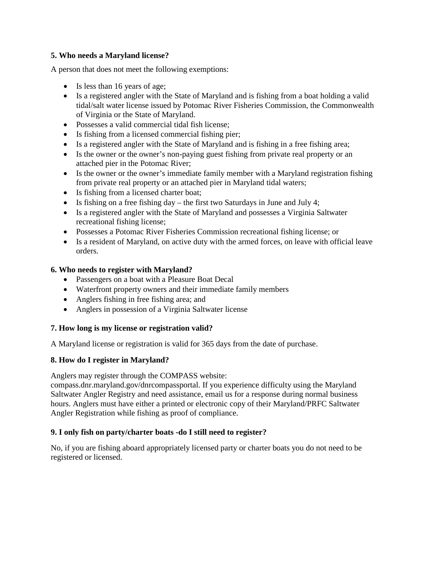# **5. Who needs a Maryland license?**

A person that does not meet the following exemptions:

- Is less than 16 years of age;
- Is a registered angler with the State of Maryland and is fishing from a boat holding a valid tidal/salt water license issued by Potomac River Fisheries Commission, the Commonwealth of Virginia or the State of Maryland.
- Possesses a valid commercial tidal fish license;
- Is fishing from a licensed commercial fishing pier:
- Is a registered angler with the State of Maryland and is fishing in a free fishing area;
- Is the owner or the owner's non-paying guest fishing from private real property or an attached pier in the Potomac River;
- Is the owner or the owner's immediate family member with a Maryland registration fishing from private real property or an attached pier in Maryland tidal waters;
- Is fishing from a licensed charter boat;
- Is fishing on a free fishing day the first two Saturdays in June and July 4;
- Is a registered angler with the State of Maryland and possesses a Virginia Saltwater recreational fishing license;
- Possesses a Potomac River Fisheries Commission recreational fishing license; or
- Is a resident of Maryland, on active duty with the armed forces, on leave with official leave orders.

#### **6. Who needs to register with Maryland?**

- Passengers on a boat with a Pleasure Boat Decal
- Waterfront property owners and their immediate family members
- Anglers fishing in free fishing area; and
- Anglers in possession of a Virginia Saltwater license

#### **7. How long is my license or registration valid?**

A Maryland license or registration is valid for 365 days from the date of purchase.

#### **8. How do I register in Maryland?**

Anglers may register through the COMPASS website:

compass.dnr.maryland.gov/dnrcompassportal. If you experience difficulty [using the Maryland](mailto:customerservice@dnr.state.md.us?Subject=Maryland%20Saltwater%20Angler%20Registry)  [Saltwater Angler Registry and need assistance, email us for a response during normal b](mailto:customerservice@dnr.state.md.us?Subject=Maryland%20Saltwater%20Angler%20Registry)usiness hours. Anglers must have either a printed or electronic copy of their Maryland/PRFC Saltwater Angler Registration while fishing as proof of compliance.

#### **9. I only fish on party/charter boats -do I still need to register?**

No, if you are fishing aboard appropriately licensed party or charter boats you do not need to be registered or licensed.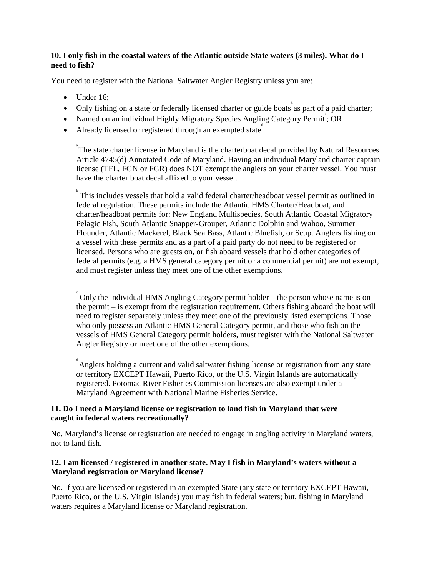# **10. I only fish in the coastal waters of the Atlantic outside State waters (3 miles). What do I need to fish?**

You need to register with the National Saltwater Angler Registry unless you are:

- Under 16:
- Only fishing on a state or federally licensed charter or guide boats as part of a paid charter;
- Named on an individual Highly Migratory Species Angling Category Permit; OR
- Already licensed or registered through an exempted state

<sup>a</sup> The state charter license in Maryland is the charterboat decal provided by Natural Resources Article 4745(d) Annotated Code of Maryland. Having an individual Maryland charter captain license (TFL, FGN or FGR) does NOT exempt the anglers on your charter vessel. You must have the charter boat decal affixed to your vessel.

b This includes vessels that hold a valid federal charter/headboat vessel permit as outlined in federal regulation. These permits include the Atlantic HMS Charter/Headboat, and charter/headboat permits for: New England Multispecies, South Atlantic Coastal Migratory Pelagic Fish, South Atlantic Snapper-Grouper, Atlantic Dolphin and Wahoo, Summer Flounder, Atlantic Mackerel, Black Sea Bass, Atlantic Bluefish, or Scup. Anglers fishing on a vessel with these permits and as a part of a paid party do not need to be registered or licensed. Persons who are guests on, or fish aboard vessels that hold other categories of federal permits (e.g. a HMS general category permit or a commercial permit) are not exempt, and must register unless they meet one of the other exemptions.

 $\hat{\ }$  Only the individual HMS Angling Category permit holder – the person whose name is on the permit – is exempt from the registration requirement. Others fishing aboard the boat will need to register separately unless they meet one of the previously listed exemptions. Those who only possess an Atlantic HMS General Category permit, and those who fish on the vessels of HMS General Category permit holders, must register with the National Saltwater Angler Registry or meet one of the other exemptions.

<sup>d</sup> Anglers holding a current and valid saltwater fishing license or registration from any state or territory EXCEPT Hawaii, Puerto Rico, or the U.S. Virgin Islands are automatically registered. Potomac River Fisheries Commission licenses are also exempt under a Maryland Agreement with National Marine Fisheries Service.

## **11. Do I need a Maryland license or registration to land fish in Maryland that were caught in federal waters recreationally?**

No. Maryland's license or registration are needed to engage in angling activity in Maryland waters, not to land fish.

# **12. I am licensed / registered in another state. May I fish in Maryland's waters without a Maryland registration or Maryland license?**

No. If you are licensed or registered in an exempted State (any state or territory EXCEPT Hawaii, Puerto Rico, or the U.S. Virgin Islands) you may fish in federal waters; but, fishing in Maryland waters requires a Maryland license or Maryland registration.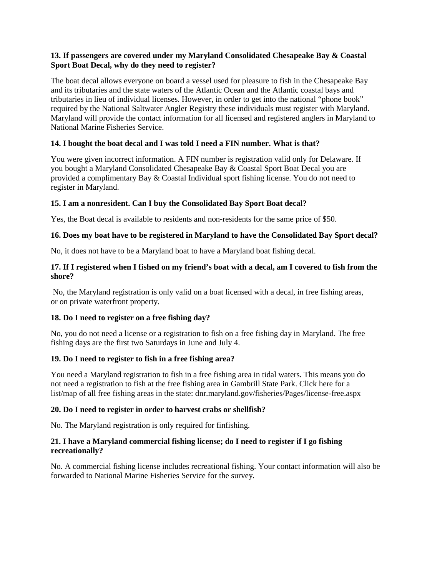## **13. If passengers are covered under my Maryland Consolidated Chesapeake Bay & Coastal Sport Boat Decal, why do they need to register?**

The boat decal allows everyone on board a vessel used for pleasure to fish in the Chesapeake Bay and its tributaries and the state waters of the Atlantic Ocean and the Atlantic coastal bays and tributaries in lieu of individual licenses. However, in order to get into the national "phone book" required by the National Saltwater Angler Registry these individuals must register with Maryland. Maryland will provide the contact information for all licensed and registered anglers in Maryland to National Marine Fisheries Service.

# **14. I bought the boat decal and I was told I need a FIN number. What is that?**

You were given incorrect information. A FIN number is registration valid only for Delaware. If you bought a Maryland Consolidated Chesapeake Bay & Coastal Sport Boat Decal you are provided a complimentary Bay & Coastal Individual sport fishing license. You do not need to register in Maryland.

# **15. I am a nonresident. Can I buy the Consolidated Bay Sport Boat decal?**

Yes, the Boat decal is available to residents and non-residents for the same price of \$50.

# **16. Does my boat have to be registered in Maryland to have the Consolidated Bay Sport decal?**

No, it does not have to be a Maryland boat to have a Maryland boat fishing decal.

# **17. If I registered when I fished on my friend's boat with a decal, am I covered to fish from the shore?**

No, the Maryland registration is only valid on a boat licensed with a decal, in free fishing areas, or on private waterfront property.

# **18. Do I need to register on a free fishing day?**

No, you do not need a license or a registration to fish on a free fishing day in Maryland. The free fishing days are the first two Saturdays in June and July 4.

# **19. Do I need to register to fish in a free fishing area?**

You need a Maryland registration to fish in a free fishing area in tidal waters. This means you do not need a registration to fish at the free fishing area in Gambrill State Park. Click here for a list/map of all free fishing [areas in the state: dnr.maryland.gov/fisheries/Pages/license-free.aspx](http://dnr.maryland.gov/fisheries/Pages/license-free.aspx) 

# **20. Do I need to register in order to harvest crabs or shellfish?**

No. The Maryland registration is only required for finfishing.

## **21. I have a Maryland commercial fishing license; do I need to register if I go fishing recreationally?**

No. A commercial fishing license includes recreational fishing. Your contact information will also be forwarded to National Marine Fisheries Service for the survey.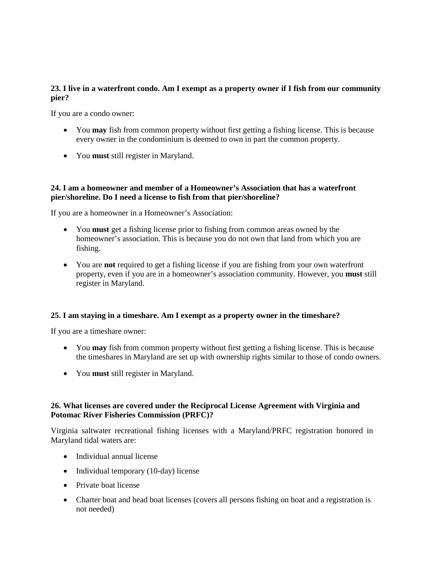# **23. I live in a waterfront condo. Am I exempt as a property owner if I fish from our community pier?**

If you are a condo owner:

- You **may** fish from common property without first getting a fishing license. This is because every owner in the condominium is deemed to own in part the common property.
- You **must** still register in Maryland.

#### **24. I am a homeowner and member of a Homeowner's Association that has a waterfront pier/shoreline. Do I need a license to fish from that pier/shoreline?**

If you are a homeowner in a Homeowner's Association:

- You **must** get a fishing license prior to fishing from common areas owned by the homeowner's association. This is because you do not own that land from which you are fishing.
- You are **not** required to get a fishing license if you are fishing from your own waterfront property, even if you are in a homeowner's association community. However, you **must** still register in Maryland.

#### **25. I am staying in a timeshare. Am I exempt as a property owner in the timeshare?**

If you are a timeshare owner:

- You **may** fish from common property without first getting a fishing license. This is because the timeshares in Maryland are set up with ownership rights similar to those of condo owners.
- You **must** still register in Maryland.

## **26. What licenses are covered under the Reciprocal License Agreement with Virginia and Potomac River Fisheries Commission (PRFC)?**

Virginia saltwater recreational fishing licenses with a Maryland/PRFC registration honored in Maryland tidal waters are:

- Individual annual license
- Individual temporary (10-day) license
- Private boat license
- Charter boat and head boat licenses (covers all persons fishing on boat and a registration is not needed)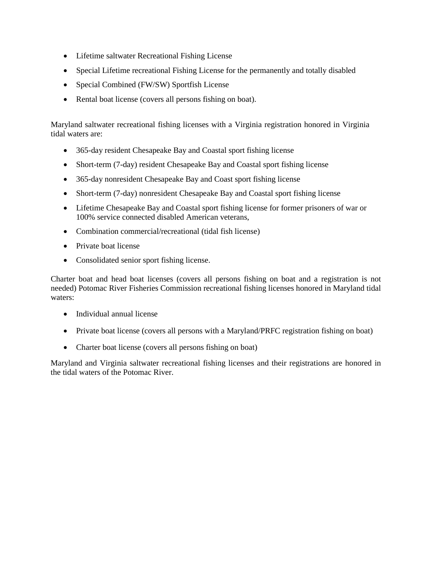- Lifetime saltwater Recreational Fishing License
- Special Lifetime recreational Fishing License for the permanently and totally disabled
- Special Combined (FW/SW) Sportfish License
- Rental boat license (covers all persons fishing on boat).

Maryland saltwater recreational fishing licenses with a Virginia registration honored in Virginia tidal waters are:

- 365-day resident Chesapeake Bay and Coastal sport fishing license
- Short-term (7-day) resident Chesapeake Bay and Coastal sport fishing license
- 365-day nonresident Chesapeake Bay and Coast sport fishing license
- Short-term (7-day) nonresident Chesapeake Bay and Coastal sport fishing license
- Lifetime Chesapeake Bay and Coastal sport fishing license for former prisoners of war or 100% service connected disabled American veterans,
- Combination commercial/recreational (tidal fish license)
- Private boat license
- Consolidated senior sport fishing license.

Charter boat and head boat licenses (covers all persons fishing on boat and a registration is not needed) Potomac River Fisheries Commission recreational fishing licenses honored in Maryland tidal waters:

- Individual annual license
- Private boat license (covers all persons with a Maryland/PRFC registration fishing on boat)
- Charter boat license (covers all persons fishing on boat)

Maryland and Virginia saltwater recreational fishing licenses and their registrations are honored in the tidal waters of the Potomac River.